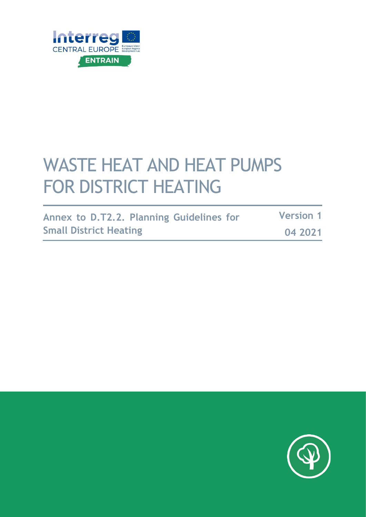

# WASTE HEAT AND HEAT PUMPS FOR DISTRICT HEATING

| Annex to D.T2.2. Planning Guidelines for | <b>Version 1</b> |  |
|------------------------------------------|------------------|--|
| <b>Small District Heating</b>            | 04 2021          |  |

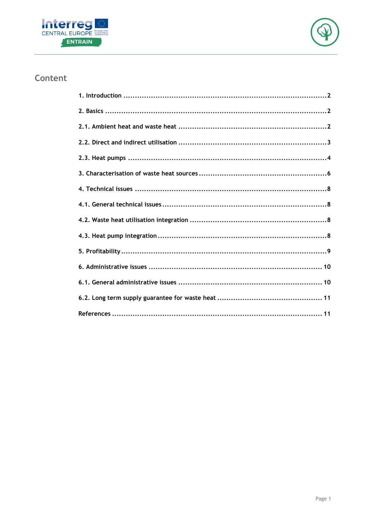



### Content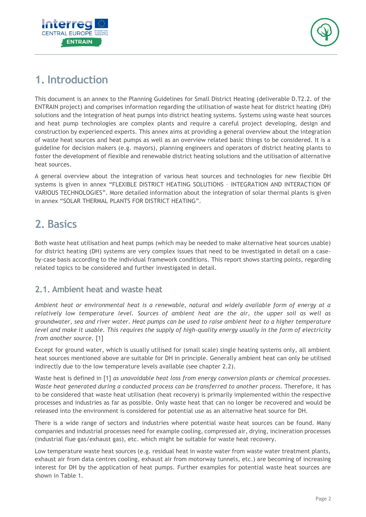



### <span id="page-2-0"></span>**1. Introduction**

This document is an annex to the Planning Guidelines for Small District Heating (deliverable D.T2.2. of the ENTRAIN project) and comprises information regarding the utilisation of waste heat for district heating (DH) solutions and the integration of heat pumps into district heating systems. Systems using waste heat sources and heat pump technologies are complex plants and require a careful project developing, design and construction by experienced experts. This annex aims at providing a general overview about the integration of waste heat sources and heat pumps as well as an overview related basic things to be considered. It is a guideline for decision makers (e.g. mayors), planning engineers and operators of district heating plants to foster the development of flexible and renewable district heating solutions and the utilisation of alternative heat sources.

A general overview about the integration of various heat sources and technologies for new flexible DH systems is given in annex "FLEXIBLE DISTRICT HEATING SOLUTIONS – INTEGRATION AND INTERACTION OF VARIOUS TECHNOLOGIES". More detailed information about the integration of solar thermal plants is given in annex "SOLAR THERMAL PLANTS FOR DISTRICT HEATING".

## <span id="page-2-1"></span>**2. Basics**

Both waste heat utilisation and heat pumps (which may be needed to make alternative heat sources usable) for district heating (DH) systems are very complex issues that need to be investigated in detail on a caseby-case basis according to the individual framework conditions. This report shows starting points, regarding related topics to be considered and further investigated in detail.

#### <span id="page-2-2"></span>**2.1. Ambient heat and waste heat**

*Ambient heat or environmental heat is a renewable, natural and widely available form of energy at a relatively low temperature level. Sources of ambient heat are the air, the upper soil as well as groundwater, sea and river water. Heat pumps can be used to raise ambient heat to a higher temperature level and make it usable. This requires the supply of high-quality energy usually in the form of electricity from another source.* [1]

Except for ground water, which is usually utilised for (small scale) single heating systems only, all ambient heat sources mentioned above are suitable for DH in principle. Generally ambient heat can only be utilised indirectly due to the low temperature levels available (see chapter [2.2\)](#page-3-0).

Waste heat is defined in [1] *as unavoidable heat loss from energy conversion plants or chemical processes. Waste heat generated during a conducted process can be transferred to another process.* Therefore, it has to be considered that waste heat utilisation (heat recovery) is primarily implemented within the respective processes and industries as far as possible. Only waste heat that can no longer be recovered and would be released into the environment is considered for potential use as an alternative heat source for DH.

There is a wide range of sectors and industries where potential waste heat sources can be found. Many companies and industrial processes need for example cooling, compressed air, drying, incineration processes (industrial flue gas/exhaust gas), etc. which might be suitable for waste heat recovery.

Low temperature waste heat sources (e.g. residual heat in waste water from waste water treatment plants, exhaust air from data centres cooling, exhaust air from motorway tunnels, etc.) are becoming of increasing interest for DH by the application of heat pumps. Further examples for potential waste heat sources are shown in [Table 1.](#page-3-1)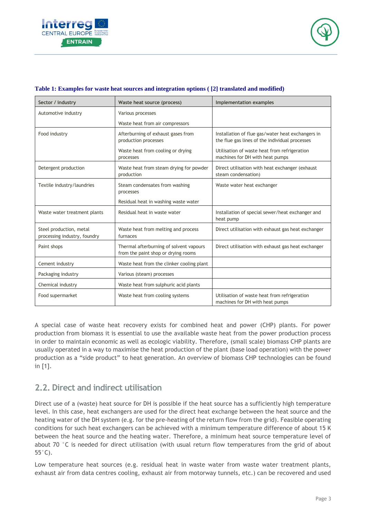



| Sector / industry                                       | Waste heat source (process)                                                    | <b>Implementation examples</b>                                                                      |  |
|---------------------------------------------------------|--------------------------------------------------------------------------------|-----------------------------------------------------------------------------------------------------|--|
| Automotive industry                                     | Various processes                                                              |                                                                                                     |  |
|                                                         | Waste heat from air compressors                                                |                                                                                                     |  |
| Food industry                                           | Afterburning of exhaust gases from<br>production processes                     | Installation of flue gas/water heat exchangers in<br>the flue gas lines of the individual processes |  |
|                                                         | Waste heat from cooling or drying<br>processes                                 | Utilisation of waste heat from refrigeration<br>machines for DH with heat pumps                     |  |
| Detergent production                                    | Waste heat from steam drying for powder<br>production                          | Direct utilisation with heat exchanger (exhaust<br>steam condensation)                              |  |
| Textile industry/laundries                              | Steam condensates from washing<br>processes                                    | Waste water heat exchanger                                                                          |  |
|                                                         | Residual heat in washing waste water                                           |                                                                                                     |  |
| Waste water treatment plants                            | Residual heat in waste water                                                   | Installation of special sewer/heat exchanger and<br>heat pump                                       |  |
| Steel production, metal<br>processing industry, foundry | Waste heat from melting and process<br>furnaces                                | Direct utilisation with exhaust gas heat exchanger                                                  |  |
| Paint shops                                             | Thermal afterburning of solvent vapours<br>from the paint shop or drying rooms | Direct utilisation with exhaust gas heat exchanger                                                  |  |
| Cement industry                                         | Waste heat from the clinker cooling plant                                      |                                                                                                     |  |
| Packaging industry                                      | Various (steam) processes                                                      |                                                                                                     |  |
| Chemical industry                                       | Waste heat from sulphuric acid plants                                          |                                                                                                     |  |
| Food supermarket                                        | Waste heat from cooling systems                                                | Utilisation of waste heat from refrigeration<br>machines for DH with heat pumps                     |  |

#### <span id="page-3-1"></span>**Table 1: Examples for waste heat sources and integration options ( [2] translated and modified)**

A special case of waste heat recovery exists for combined heat and power (CHP) plants. For power production from biomass it is essential to use the available waste heat from the power production process in order to maintain economic as well as ecologic viability. Therefore, (small scale) biomass CHP plants are usually operated in a way to maximise the heat production of the plant (base load operation) with the power production as a "side product" to heat generation. An overview of biomass CHP technologies can be found in [1].

### <span id="page-3-0"></span>**2.2. Direct and indirect utilisation**

Direct use of a (waste) heat source for DH is possible if the heat source has a sufficiently high temperature level. In this case, heat exchangers are used for the direct heat exchange between the heat source and the heating water of the DH system (e.g. for the pre-heating of the return flow from the grid). Feasible operating conditions for such heat exchangers can be achieved with a minimum temperature difference of about 15 K between the heat source and the heating water. Therefore, a minimum heat source temperature level of about 70 °C is needed for direct utilisation (with usual return flow temperatures from the grid of about 55°C).

Low temperature heat sources (e.g. residual heat in waste water from waste water treatment plants, exhaust air from data centres cooling, exhaust air from motorway tunnels, etc.) can be recovered and used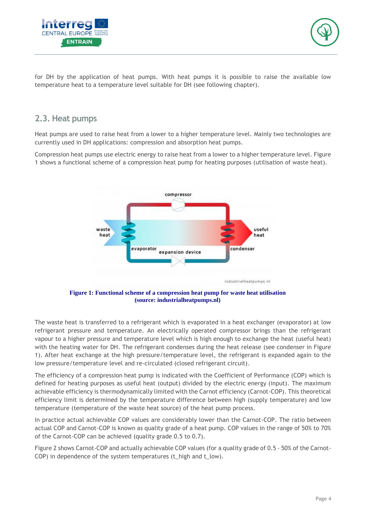



for DH by the application of heat pumps. With heat pumps it is possible to raise the available low temperature heat to a temperature level suitable for DH (see following chapter).

#### <span id="page-4-0"></span>**2.3. Heat pumps**

Heat pumps are used to raise heat from a lower to a higher temperature level. Mainly two technologies are currently used in DH applications: compression and absorption heat pumps.

Compression heat pumps use electric energy to raise heat from a lower to a higher temperature level. [Figure](#page-4-1)  [1](#page-4-1) shows a functional scheme of a compression heat pump for heating purposes (utilisation of waste heat).



**Figure 1: Functional scheme of a compression heat pump for waste heat utilisation (source: industrialheatpumps.nl)**

<span id="page-4-1"></span>The waste heat is transferred to a refrigerant which is evaporated in a heat exchanger (evaporator) at low refrigerant pressure and temperature. An electrically operated compressor brings than the refrigerant vapour to a higher pressure and temperature level which is high enough to exchange the heat (useful heat) with the heating water for DH. The refrigerant condenses during the heat release (see condenser in [Figure](#page-4-1)  [1\)](#page-4-1). After heat exchange at the high pressure/temperature level, the refrigerant is expanded again to the low pressure/temperature level and re-circulated (closed refrigerant circuit).

The efficiency of a compression heat pump is indicated with the Coefficient of Performance (COP) which is defined for heating purposes as useful heat (output) divided by the electric energy (input). The maximum achievable efficiency is thermodynamically limited with the Carnot efficiency (Carnot-COP). This theoretical efficiency limit is determined by the temperature difference between high (supply temperature) and low temperature (temperature of the waste heat source) of the heat pump process.

In practice actual achievable COP values are considerably lower than the Carnot-COP. The ratio between actual COP and Carnot-COP is known as quality grade of a heat pump. COP values in the range of 50% to 70% of the Carnot-COP can be achieved (quality grade 0.5 to 0.7).

[Figure 2](#page-5-0) shows Carnot-COP and actually achievable COP values (for a quality grade of 0.5 - 50% of the Carnot-COP) in dependence of the system temperatures (t\_high and t\_low).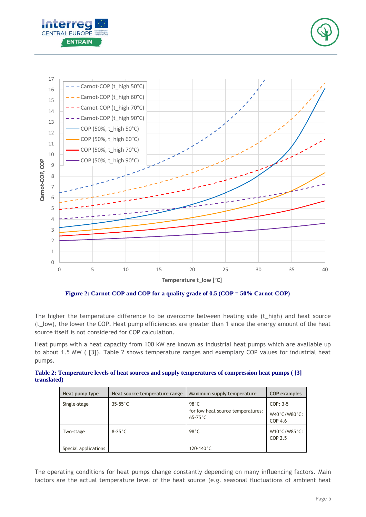





**Figure 2: Carnot-COP and COP for a quality grade of 0.5 (COP = 50% Carnot-COP)**

<span id="page-5-0"></span>The higher the temperature difference to be overcome between heating side (t\_high) and heat source (t\_low), the lower the COP. Heat pump efficiencies are greater than 1 since the energy amount of the heat source itself is not considered for COP calculation.

Heat pumps with a heat capacity from 100 kW are known as industrial heat pumps which are available up to about 1.5 MW ( [3]). [Table 2](#page-5-1) shows temperature ranges and exemplary COP values for industrial heat pumps.

<span id="page-5-1"></span>**Table 2: Temperature levels of heat sources and supply temperatures of compression heat pumps ( [3] translated)**

| Heat pump type       | Heat source temperature range | Maximum supply temperature                                      | <b>COP</b> examples                          |
|----------------------|-------------------------------|-----------------------------------------------------------------|----------------------------------------------|
| Single-stage         | $35-55$ °C                    | $98^\circ C$<br>for low heat source temperatures:<br>$65-75$ °C | $COP: 3-5$<br>W40°C/W80°C:<br>COP 4.6        |
| Two-stage            | $8-25$ °C                     | $98^\circ C$                                                    | $W10^{\circ}$ C/W85 $^{\circ}$ C:<br>COP 2.5 |
| Special applications |                               | 120-140 $^{\circ}$ C                                            |                                              |

The operating conditions for heat pumps change constantly depending on many influencing factors. Main factors are the actual temperature level of the heat source (e.g. seasonal fluctuations of ambient heat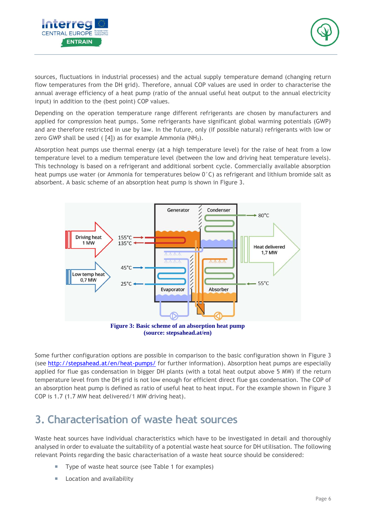



sources, fluctuations in industrial processes) and the actual supply temperature demand (changing return flow temperatures from the DH grid). Therefore, annual COP values are used in order to characterise the annual average efficiency of a heat pump (ratio of the annual useful heat output to the annual electricity input) in addition to the (best point) COP values.

Depending on the operation temperature range different refrigerants are chosen by manufacturers and applied for compression heat pumps. Some refrigerants have significant global warming potentials (GWP) and are therefore restricted in use by law. In the future, only (if possible natural) refrigerants with low or zero GWP shall be used ( $[4]$ ) as for example Ammonia (NH<sub>3</sub>).

Absorption heat pumps use thermal energy (at a high temperature level) for the raise of heat from a low temperature level to a medium temperature level (between the low and driving heat temperature levels). This technology is based on a refrigerant and additional sorbent cycle. Commercially available absorption heat pumps use water (or Ammonia for temperatures below 0°C) as refrigerant and lithium bromide salt as absorbent. A basic scheme of an absorption heat pump is shown in [Figure 3.](#page-6-1)



**(source: stepsahead.at/en)**

<span id="page-6-1"></span>Some further configuration options are possible in comparison to the basic configuration shown in [Figure 3](#page-6-1) (see<http://stepsahead.at/en/heat-pumps/> for further information). Absorption heat pumps are especially applied for flue gas condensation in bigger DH plants (with a total heat output above 5 MW) if the return temperature level from the DH grid is not low enough for efficient direct flue gas condensation. The COP of an absorption heat pump is defined as ratio of useful heat to heat input. For the example shown in [Figure 3](#page-6-1) COP is 1.7 (1.7 MW heat delivered/1 MW driving heat).

### <span id="page-6-0"></span>**3. Characterisation of waste heat sources**

Waste heat sources have individual characteristics which have to be investigated in detail and thoroughly analysed in order to evaluate the suitability of a potential waste heat source for DH utilisation. The following relevant Points regarding the basic characterisation of a waste heat source should be considered:

- Type of waste heat source (see [Table 1](#page-3-1) for examples)
- Location and availability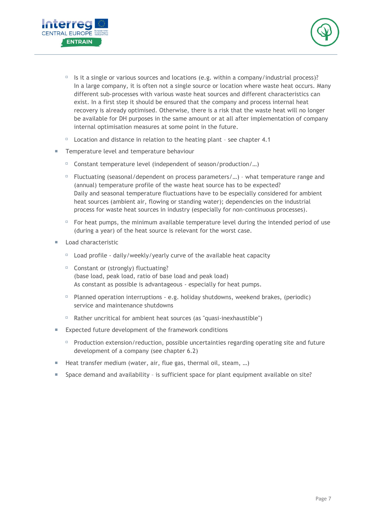



- $\Box$  Is it a single or various sources and locations (e.g. within a company/industrial process)? In a large company, it is often not a single source or location where waste heat occurs. Many different sub-processes with various waste heat sources and different characteristics can exist. In a first step it should be ensured that the company and process internal heat recovery is already optimised. Otherwise, there is a risk that the waste heat will no longer be available for DH purposes in the same amount or at all after implementation of company internal optimisation measures at some point in the future.
- $\Box$  Location and distance in relation to the heating plant see chapter [4.1](#page-8-1)
- Temperature level and temperature behaviour
	- $\Box$  Constant temperature level (independent of season/production/...)
	- $\Box$  Fluctuating (seasonal/dependent on process parameters/...) what temperature range and (annual) temperature profile of the waste heat source has to be expected? Daily and seasonal temperature fluctuations have to be especially considered for ambient heat sources (ambient air, flowing or standing water); dependencies on the industrial process for waste heat sources in industry (especially for non-continuous processes).
	- $\Box$  For heat pumps, the minimum available temperature level during the intended period of use (during a year) of the heat source is relevant for the worst case.
- **Load characteristic** 
	- $\Box$  Load profile daily/weekly/yearly curve of the available heat capacity
	- $\Box$  Constant or (strongly) fluctuating? (base load, peak load, ratio of base load and peak load) As constant as possible is advantageous - especially for heat pumps.
	- $\Box$  Planned operation interruptions e.g. holiday shutdowns, weekend brakes, (periodic) service and maintenance shutdowns
	- $\Box$  Rather uncritical for ambient heat sources (as "quasi-inexhaustible")
- **Expected future development of the framework conditions** 
	- $P$  Production extension/reduction, possible uncertainties regarding operating site and future development of a company (see chapter [6.2\)](#page-11-0)
- Heat transfer medium (water, air, flue gas, thermal oil, steam, ...)
- <span id="page-7-0"></span>**Space demand and availability - is sufficient space for plant equipment available on site?**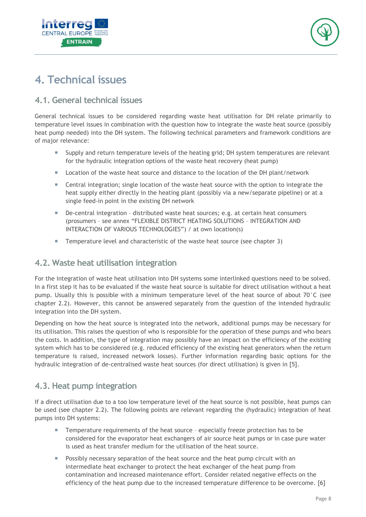



### <span id="page-8-0"></span>**4. Technical issues**

### <span id="page-8-1"></span>**4.1. General technical issues**

General technical issues to be considered regarding waste heat utilisation for DH relate primarily to temperature level issues in combination with the question how to integrate the waste heat source (possibly heat pump needed) into the DH system. The following technical parameters and framework conditions are of major relevance:

- Supply and return temperature levels of the heating grid; DH system temperatures are relevant for the hydraulic integration options of the waste heat recovery (heat pump)
- **Location of the waste heat source and distance to the location of the DH plant/network**
- **EXEC** Central integration; single location of the waste heat source with the option to integrate the heat supply either directly in the heating plant (possibly via a new/separate pipeline) or at a single feed-in point in the existing DH network
- De-central integration distributed waste heat sources; e.g. at certain heat consumers (prosumers – see annex "FLEXIBLE DISTRICT HEATING SOLUTIONS – INTEGRATION AND INTERACTION OF VARIOUS TECHNOLOGIES") / at own location(s)
- Temperature level and characteristic of the waste heat source (see chapter [3\)](#page-6-0)

#### <span id="page-8-2"></span>**4.2. Waste heat utilisation integration**

For the integration of waste heat utilisation into DH systems some interlinked questions need to be solved. In a first step it has to be evaluated if the waste heat source is suitable for direct utilisation without a heat pump. Usually this is possible with a minimum temperature level of the heat source of about 70°C (see chapter [2.2\)](#page-3-0). However, this cannot be answered separately from the question of the intended hydraulic integration into the DH system.

Depending on how the heat source is integrated into the network, additional pumps may be necessary for its utilisation. This raises the question of who is responsible for the operation of these pumps and who bears the costs. In addition, the type of integration may possibly have an impact on the efficiency of the existing system which has to be considered (e.g. reduced efficiency of the existing heat generators when the return temperature is raised, increased network losses). Further information regarding basic options for the hydraulic integration of de-centralised waste heat sources (for direct utilisation) is given in [5].

#### <span id="page-8-3"></span>**4.3. Heat pump integration**

If a direct utilisation due to a too low temperature level of the heat source is not possible, heat pumps can be used (see chapter [2.2\)](#page-3-0). The following points are relevant regarding the (hydraulic) integration of heat pumps into DH systems:

- **Temperature requirements of the heat source especially freeze protection has to be** considered for the evaporator heat exchangers of air source heat pumps or in case pure water is used as heat transfer medium for the utilisation of the heat source.
- Possibly necessary separation of the heat source and the heat pump circuit with an intermediate heat exchanger to protect the heat exchanger of the heat pump from contamination and increased maintenance effort. Consider related negative effects on the efficiency of the heat pump due to the increased temperature difference to be overcome. [6]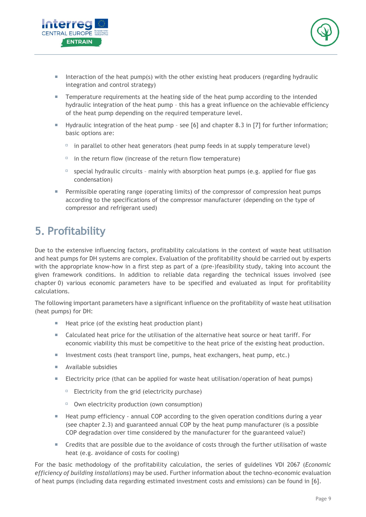



- Interaction of the heat pump(s) with the other existing heat producers (regarding hydraulic integration and control strategy)
- **Temperature requirements at the heating side of the heat pump according to the intended** hydraulic integration of the heat pump – this has a great influence on the achievable efficiency of the heat pump depending on the required temperature level.
- Hydraulic integration of the heat pump see [6] and chapter 8.3 in [7] for further information; basic options are:
	- $\Box$  in parallel to other heat generators (heat pump feeds in at supply temperature level)
	- $\Box$  in the return flow (increase of the return flow temperature)
	- $\Box$  special hydraulic circuits mainly with absorption heat pumps (e.g. applied for flue gas condensation)
- **Permissible operating range (operating limits) of the compressor of compression heat pumps** according to the specifications of the compressor manufacturer (depending on the type of compressor and refrigerant used)

## <span id="page-9-0"></span>**5. Profitability**

Due to the extensive influencing factors, profitability calculations in the context of waste heat utilisation and heat pumps for DH systems are complex. Evaluation of the profitability should be carried out by experts with the appropriate know-how in a first step as part of a (pre-)feasibility study, taking into account the given framework conditions. In addition to reliable data regarding the technical issues involved (see chapter [0\)](#page-7-0) various economic parameters have to be specified and evaluated as input for profitability calculations.

The following important parameters have a significant influence on the profitability of waste heat utilisation (heat pumps) for DH:

- $\blacksquare$  Heat price (of the existing heat production plant)
- Calculated heat price for the utilisation of the alternative heat source or heat tariff. For economic viability this must be competitive to the heat price of the existing heat production.
- Investment costs (heat transport line, pumps, heat exchangers, heat pump, etc.)
- **Available subsidies**
- **Electricity price (that can be applied for waste heat utilisation/operation of heat pumps)** 
	- $E$  Electricity from the grid (electricity purchase)
	- $\Box$  Own electricity production (own consumption)
- **Heat pump efficiency annual COP according to the given operation conditions during a year** (see chapter [2.3\)](#page-4-0) and guaranteed annual COP by the heat pump manufacturer (is a possible COP degradation over time considered by the manufacturer for the guaranteed value?)
- Credits that are possible due to the avoidance of costs through the further utilisation of waste heat (e.g. avoidance of costs for cooling)

For the basic methodology of the profitability calculation, the series of guidelines VDI 2067 (*Economic efficiency of building installations*) may be used. Further information about the techno-economic evaluation of heat pumps (including data regarding estimated investment costs and emissions) can be found in [6].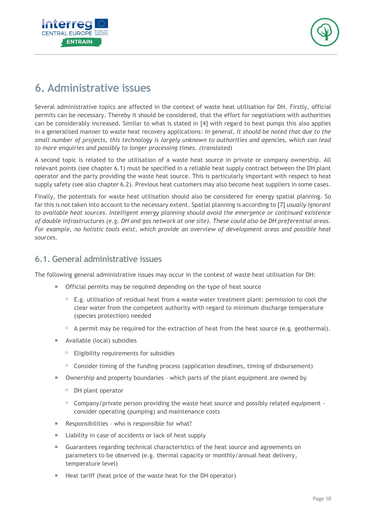



### <span id="page-10-0"></span>**6. Administrative issues**

Several administrative topics are affected in the context of waste heat utilisation for DH. Firstly, official permits can be necessary. Thereby it should be considered, that the effort for negotiations with authorities can be considerably increased. Similar to what is stated in [4] with regard to heat pumps this also applies in a generalised manner to waste heat recovery applications: *In general, it should be noted that due to the small number of projects, this technology is largely unknown to authorities and agencies, which can lead to more enquiries and possibly to longer processing times. (translated)*

A second topic is related to the utilisation of a waste heat source in private or company ownership. All relevant points (see chapter [6.1\)](#page-10-1) must be specified in a reliable heat supply contract between the DH plant operator and the party providing the waste heat source. This is particularly important with respect to heat supply safety (see also chapter [6.2\)](#page-11-0). Previous heat customers may also become heat suppliers in some cases.

Finally, the potentials for waste heat utilisation should also be considered for energy spatial planning. So far this is not taken into account to the necessary extent. Spatial planning is according to [7] *usually ignorant to available heat sources. Intelligent energy planning should avoid the emergence or continued existence of double infrastructures (e.g. DH and gas network at one site). These could also be DH preferential areas. For example, no holistic tools exist, which provide an overview of development areas and possible heat sources.*

#### <span id="page-10-1"></span>**6.1. General administrative issues**

The following general administrative issues may occur in the context of waste heat utilisation for DH:

- **The Official permits may be required depending on the type of heat source** 
	- $E.$ g. utilisation of residual heat from a waste water treatment plant: permission to cool the clear water from the competent authority with regard to minimum discharge temperature (species protection) needed
	- $\Box$  A permit may be required for the extraction of heat from the heat source (e.g. geothermal).
- **Available (local) subsidies** 
	- $E$  Eligibility requirements for subsidies
	- $\Box$  Consider timing of the funding process (application deadlines, timing of disbursement)
- Ownership and property boundaries which parts of the plant equipment are owned by
	- $D$ H plant operator
	- $\Box$  Company/private person providing the waste heat source and possibly related equipment consider operating (pumping) and maintenance costs
- Responsibilities who is responsible for what?
- Liability in case of accidents or lack of heat supply
- Guarantees regarding technical characteristics of the heat source and agreements on parameters to be observed (e.g. thermal capacity or monthly/annual heat delivery, temperature level)
- Heat tariff (heat price of the waste heat for the DH operator)